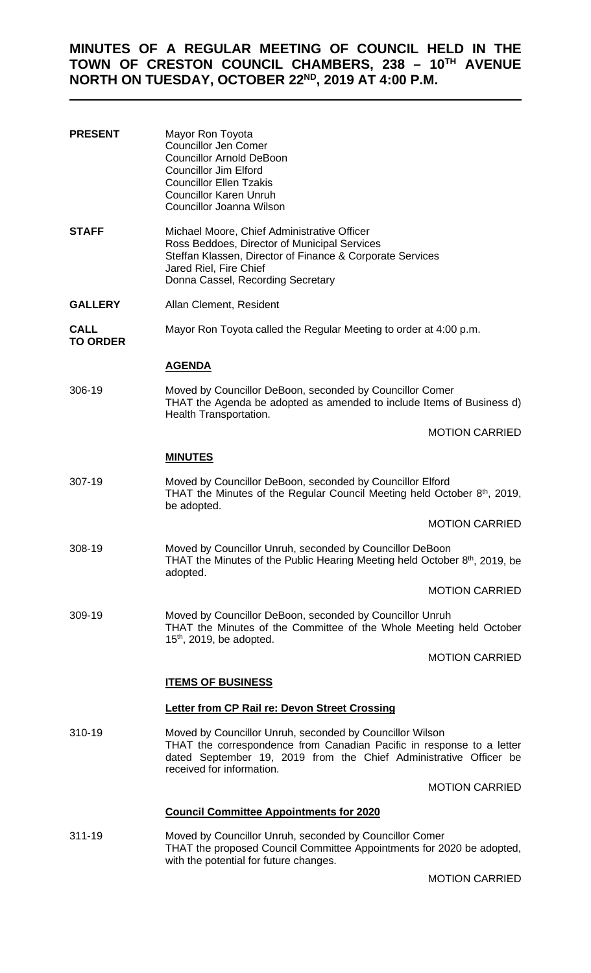# **MINUTES OF A REGULAR MEETING OF COUNCIL HELD IN THE TOWN OF CRESTON COUNCIL CHAMBERS, 238 – 10TH AVENUE NORTH ON TUESDAY, OCTOBER 22ND, 2019 AT 4:00 P.M.**

| <b>PRESENT</b>          | Mayor Ron Toyota<br><b>Councillor Jen Comer</b><br><b>Councillor Arnold DeBoon</b><br><b>Councillor Jim Elford</b><br><b>Councillor Ellen Tzakis</b><br><b>Councillor Karen Unruh</b><br>Councillor Joanna Wilson                   |
|-------------------------|-------------------------------------------------------------------------------------------------------------------------------------------------------------------------------------------------------------------------------------|
| <b>STAFF</b>            | Michael Moore, Chief Administrative Officer<br>Ross Beddoes, Director of Municipal Services<br>Steffan Klassen, Director of Finance & Corporate Services<br>Jared Riel, Fire Chief<br>Donna Cassel, Recording Secretary             |
| <b>GALLERY</b>          | Allan Clement, Resident                                                                                                                                                                                                             |
| CALL<br><b>TO ORDER</b> | Mayor Ron Toyota called the Regular Meeting to order at 4:00 p.m.                                                                                                                                                                   |
|                         | <u>AGENDA</u>                                                                                                                                                                                                                       |
| 306-19                  | Moved by Councillor DeBoon, seconded by Councillor Comer<br>THAT the Agenda be adopted as amended to include Items of Business d)<br>Health Transportation.                                                                         |
|                         | <b>MOTION CARRIED</b>                                                                                                                                                                                                               |
|                         | <b>MINUTES</b>                                                                                                                                                                                                                      |
| 307-19                  | Moved by Councillor DeBoon, seconded by Councillor Elford<br>THAT the Minutes of the Regular Council Meeting held October 8th, 2019,<br>be adopted.                                                                                 |
|                         | <b>MOTION CARRIED</b>                                                                                                                                                                                                               |
| 308-19                  | Moved by Councillor Unruh, seconded by Councillor DeBoon<br>THAT the Minutes of the Public Hearing Meeting held October 8 <sup>th</sup> , 2019, be<br>adopted.                                                                      |
|                         | <b>MOTION CARRIED</b>                                                                                                                                                                                                               |
| 309-19                  | Moved by Councillor DeBoon, seconded by Councillor Unruh<br>THAT the Minutes of the Committee of the Whole Meeting held October<br>$15th$ , 2019, be adopted.                                                                       |
|                         | <b>MOTION CARRIED</b>                                                                                                                                                                                                               |
|                         | <b>ITEMS OF BUSINESS</b>                                                                                                                                                                                                            |
|                         | Letter from CP Rail re: Devon Street Crossing                                                                                                                                                                                       |
| 310-19                  | Moved by Councillor Unruh, seconded by Councillor Wilson<br>THAT the correspondence from Canadian Pacific in response to a letter<br>dated September 19, 2019 from the Chief Administrative Officer be<br>received for information. |
|                         | <b>MOTION CARRIED</b>                                                                                                                                                                                                               |
|                         | <b>Council Committee Appointments for 2020</b>                                                                                                                                                                                      |
| 311-19                  | Moved by Councillor Unruh, seconded by Councillor Comer<br>THAT the proposed Council Committee Appointments for 2020 be adopted,<br>with the potential for future changes.                                                          |

MOTION CARRIED